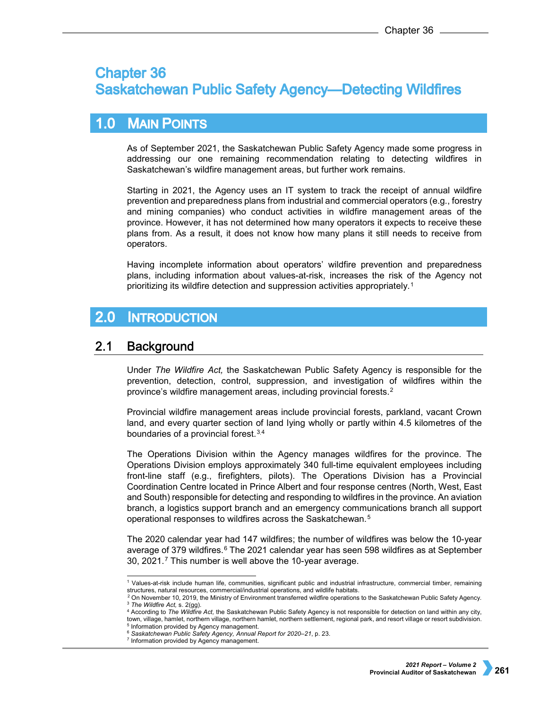# **Chapter 36 Saskatchewan Public Safety Agency-Detecting Wildfires**

# **MAIN POINTS**  $1.0<sub>l</sub>$

As of September 2021, the Saskatchewan Public Safety Agency made some progress in addressing our one remaining recommendation relating to detecting wildfires in Saskatchewan's wildfire management areas, but further work remains.

Starting in 2021, the Agency uses an IT system to track the receipt of annual wildfire prevention and preparedness plans from industrial and commercial operators (e.g., forestry and mining companies) who conduct activities in wildfire management areas of the province. However, it has not determined how many operators it expects to receive these plans from. As a result, it does not know how many plans it still needs to receive from operators.

Having incomplete information about operators' wildfire prevention and preparedness plans, including information about values-at-risk, increases the risk of the Agency not prioritizing its wildfire detection and suppression activities appropriately.[1](#page-0-0)

## $2.0$ **INTRODUCTION**

#### $2.1$ **Background**

Under *The Wildfire Act,* the Saskatchewan Public Safety Agency is responsible for the prevention, detection, control, suppression, and investigation of wildfires within the province's wildfire management areas, including provincial forests.[2](#page-0-1)

Provincial wildfire management areas include provincial forests, parkland, vacant Crown land, and every quarter section of land lying wholly or partly within 4.5 kilometres of the boundaries of a provincial forest.[3,](#page-0-2)[4](#page-0-3)

The Operations Division within the Agency manages wildfires for the province. The Operations Division employs approximately 340 full-time equivalent employees including front-line staff (e.g., firefighters, pilots). The Operations Division has a Provincial Coordination Centre located in Prince Albert and four response centres (North, West, East and South) responsible for detecting and responding to wildfires in the province. An aviation branch, a logistics support branch and an emergency communications branch all support operational responses to wildfires across the Saskatchewan.[5](#page-0-4)

The 2020 calendar year had 147 wildfires; the number of wildfires was below the 10-year average of 379 wildfires.<sup>[6](#page-0-5)</sup> The 2021 calendar year has seen 598 wildfires as at September 30, 2021.[7](#page-0-6) This number is well above the 10-year average.

 <sup>1</sup> Values-at-risk include human life, communities, significant public and industrial infrastructure, commercial timber, remaining structures, natural resources, commercial/industrial operations, and wildlife habitats.

<span id="page-0-5"></span><span id="page-0-4"></span><span id="page-0-3"></span><span id="page-0-2"></span><span id="page-0-1"></span><span id="page-0-0"></span><sup>2</sup> On November 10, 2019, the Ministry of Environment transferred wildfire operations to the Saskatchewan Public Safety Agency*.* <sup>3</sup> *The Wildfire Act,* s. 2(gg).

<sup>4</sup> According to *The Wildfire Act,* the Saskatchewan Public Safety Agency is not responsible for detection on land within any city, town, village, hamlet, northern village, northern hamlet, northern settlement, regional park, and resort village or resort subdivision.<br><sup>5</sup> Information provided by Agency management.

<span id="page-0-6"></span><sup>6</sup> *Saskatchewan Public Safety Agency, Annual Report for 2020–21*, p. 23.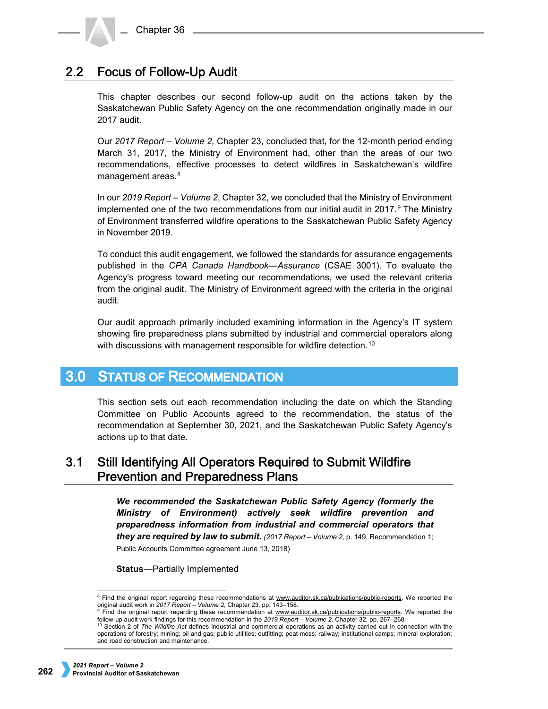# **Focus of Follow-Up Audit**  $2.2$

This chapter describes our second follow-up audit on the actions taken by the Saskatchewan Public Safety Agency on the one recommendation originally made in our 2017 audit.

Our *2017 Report – Volume 2,* Chapter 23, concluded that, for the 12-month period ending March 31, 2017, the Ministry of Environment had, other than the areas of our two recommendations, effective processes to detect wildfires in Saskatchewan's wildfire management areas.<sup>[8](#page-1-0)</sup>

In our *2019 Report – Volume 2*, Chapter 32, we concluded that the Ministry of Environment implemented one of the two recommendations from our initial audit in  $2017$ .<sup>[9](#page-1-1)</sup> The Ministry of Environment transferred wildfire operations to the Saskatchewan Public Safety Agency in November 2019.

To conduct this audit engagement, we followed the standards for assurance engagements published in the *CPA Canada Handbook—Assurance* (CSAE 3001). To evaluate the Agency's progress toward meeting our recommendations, we used the relevant criteria from the original audit. The Ministry of Environment agreed with the criteria in the original audit.

Our audit approach primarily included examining information in the Agency's IT system showing fire preparedness plans submitted by industrial and commercial operators along with discussions with management responsible for wildfire detection.<sup>[10](#page-1-2)</sup>

### $3.0<sub>1</sub>$ **STATUS OF RECOMMENDATION**

This section sets out each recommendation including the date on which the Standing Committee on Public Accounts agreed to the recommendation, the status of the recommendation at September 30, 2021, and the Saskatchewan Public Safety Agency's actions up to that date.

# Still Identifying All Operators Required to Submit Wildfire  $3.1$ **Prevention and Preparedness Plans**

*We recommended the Saskatchewan Public Safety Agency (formerly the Ministry of Environment) actively seek wildfire prevention and preparedness information from industrial and commercial operators that they are required by law to submit. (2017 Report – Volume 2,* p. 149, Recommendation 1; Public Accounts Committee agreement June 13, 2018)

**Status**—Partially Implemented

<span id="page-1-0"></span><sup>&</sup>lt;sup>8</sup> Find the original report regarding these recommendations at [www.auditor.sk.ca/publications/public-reports.](http://www.auditor.sk.ca/publications/public-reports) We reported the original audit work in 2017 Report – Volume 2, Chapter 23, pp. 143–158.

<span id="page-1-1"></span><sup>&</sup>lt;sup>9</sup> Find the original report regarding these recommendation at [www.auditor.sk.ca/publications/public-reports.](http://www.auditor.sk.ca/publications/public-reports) We reported the follow-up audit work findings for this recommendation in the *2019 Report – Volume 2,* Chapter 32, pp. 267–268.

<span id="page-1-2"></span><sup>10</sup> Section 2 of *The Wildfire Act* defines industrial and commercial operations as an activity carried out in connection with the operations of forestry; mining; oil and gas; public utilities; outfitting; peat-moss; railway; institutional camps; mineral exploration; and road construction and maintenance.